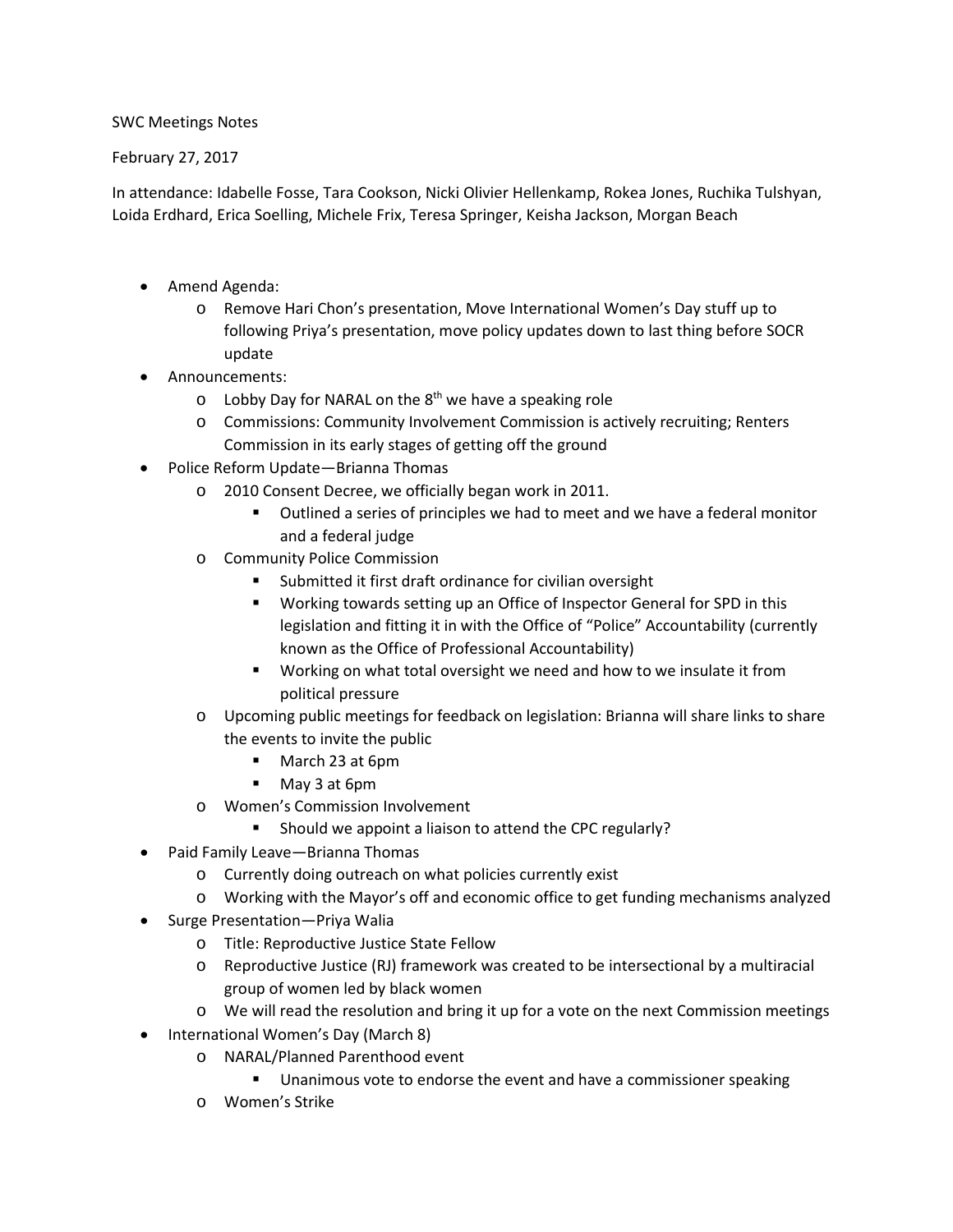## SWC Meetings Notes

## February 27, 2017

In attendance: Idabelle Fosse, Tara Cookson, Nicki Olivier Hellenkamp, Rokea Jones, Ruchika Tulshyan, Loida Erdhard, Erica Soelling, Michele Frix, Teresa Springer, Keisha Jackson, Morgan Beach

- Amend Agenda:
	- o Remove Hari Chon's presentation, Move International Women's Day stuff up to following Priya's presentation, move policy updates down to last thing before SOCR update
- Announcements:
	- $\circ$  Lobby Day for NARAL on the 8<sup>th</sup> we have a speaking role
	- o Commissions: Community Involvement Commission is actively recruiting; Renters Commission in its early stages of getting off the ground
- Police Reform Update—Brianna Thomas
	- o 2010 Consent Decree, we officially began work in 2011.
		- Outlined a series of principles we had to meet and we have a federal monitor and a federal judge
	- o Community Police Commission
		- Submitted it first draft ordinance for civilian oversight
		- Working towards setting up an Office of Inspector General for SPD in this legislation and fitting it in with the Office of "Police" Accountability (currently known as the Office of Professional Accountability)
		- **Working on what total oversight we need and how to we insulate it from** political pressure
	- o Upcoming public meetings for feedback on legislation: Brianna will share links to share the events to invite the public
		- March 23 at 6pm
		- May 3 at 6pm
	- o Women's Commission Involvement
		- Should we appoint a liaison to attend the CPC regularly?
- Paid Family Leave—Brianna Thomas
	- o Currently doing outreach on what policies currently exist
	- o Working with the Mayor's off and economic office to get funding mechanisms analyzed
- Surge Presentation—Priya Walia
	- o Title: Reproductive Justice State Fellow
	- o Reproductive Justice (RJ) framework was created to be intersectional by a multiracial group of women led by black women
	- o We will read the resolution and bring it up for a vote on the next Commission meetings
- International Women's Day (March 8)
	- o NARAL/Planned Parenthood event
		- **Unanimous vote to endorse the event and have a commissioner speaking**
	- o Women's Strike